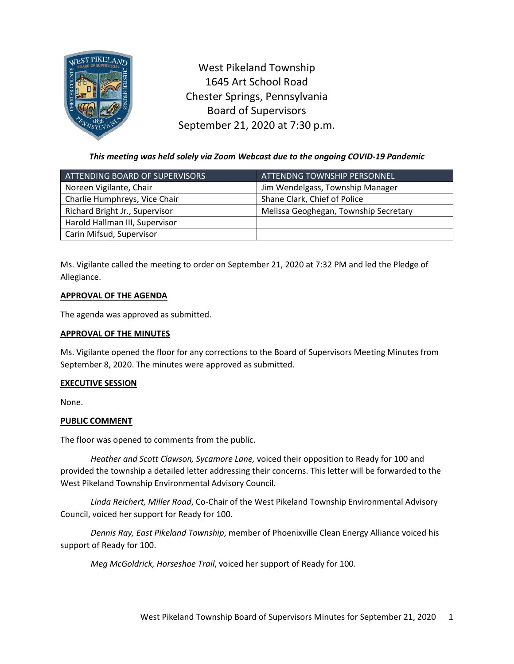

West Pikeland Township 1645 Art School Road Chester Springs, Pennsylvania Board of Supervisors September 21, 2020 at 7:30 p.m.

*This meeting was held solely via Zoom Webcast due to the ongoing COVID-19 Pandemic*

| ATTENDING BOARD OF SUPERVISORS | ATTENDNG TOWNSHIP PERSONNEL,          |
|--------------------------------|---------------------------------------|
| Noreen Vigilante, Chair        | Jim Wendelgass, Township Manager      |
| Charlie Humphreys, Vice Chair  | Shane Clark, Chief of Police          |
| Richard Bright Jr., Supervisor | Melissa Geoghegan, Township Secretary |
| Harold Hallman III, Supervisor |                                       |
| Carin Mifsud, Supervisor       |                                       |

Ms. Vigilante called the meeting to order on September 21, 2020 at 7:32 PM and led the Pledge of Allegiance.

# **APPROVAL OF THE AGENDA**

The agenda was approved as submitted.

# **APPROVAL OF THE MINUTES**

Ms. Vigilante opened the floor for any corrections to the Board of Supervisors Meeting Minutes from September 8, 2020. The minutes were approved as submitted.

# **EXECUTIVE SESSION**

None.

# **PUBLIC COMMENT**

The floor was opened to comments from the public.

*Heather and Scott Clawson, Sycamore Lane,* voiced their opposition to Ready for 100 and provided the township a detailed letter addressing their concerns. This letter will be forwarded to the West Pikeland Township Environmental Advisory Council.

*Linda Reichert, Miller Road*, Co-Chair of the West Pikeland Township Environmental Advisory Council, voiced her support for Ready for 100.

*Dennis Ray, East Pikeland Township*, member of Phoenixville Clean Energy Alliance voiced his support of Ready for 100.

*Meg McGoldrick, Horseshoe Trail*, voiced her support of Ready for 100.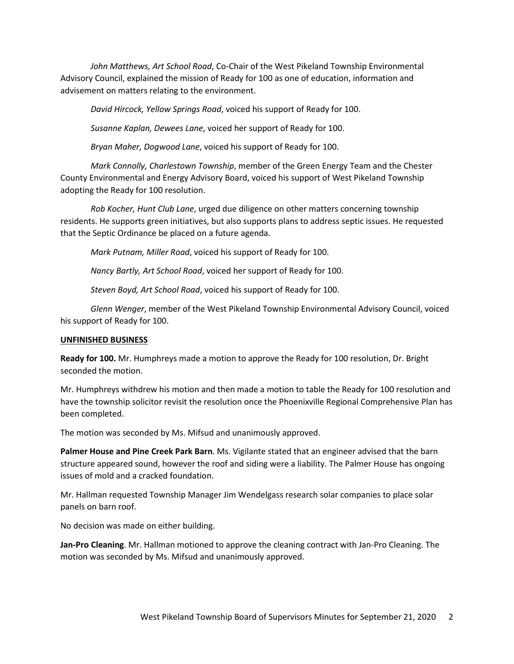*John Matthews, Art School Road*, Co-Chair of the West Pikeland Township Environmental Advisory Council, explained the mission of Ready for 100 as one of education, information and advisement on matters relating to the environment.

*David Hircock, Yellow Springs Road*, voiced his support of Ready for 100.

*Susanne Kaplan, Dewees Lane*, voiced her support of Ready for 100.

*Bryan Maher, Dogwood Lane*, voiced his support of Ready for 100.

*Mark Connolly, Charlestown Township*, member of the Green Energy Team and the Chester County Environmental and Energy Advisory Board, voiced his support of West Pikeland Township adopting the Ready for 100 resolution.

*Rob Kocher, Hunt Club Lane*, urged due diligence on other matters concerning township residents. He supports green initiatives, but also supports plans to address septic issues. He requested that the Septic Ordinance be placed on a future agenda.

*Mark Putnam, Miller Road*, voiced his support of Ready for 100.

*Nancy Bartly, Art School Road*, voiced her support of Ready for 100.

*Steven Boyd, Art School Road*, voiced his support of Ready for 100.

*Glenn Wenger*, member of the West Pikeland Township Environmental Advisory Council, voiced his support of Ready for 100.

## **UNFINISHED BUSINESS**

**Ready for 100.** Mr. Humphreys made a motion to approve the Ready for 100 resolution, Dr. Bright seconded the motion.

Mr. Humphreys withdrew his motion and then made a motion to table the Ready for 100 resolution and have the township solicitor revisit the resolution once the Phoenixville Regional Comprehensive Plan has been completed.

The motion was seconded by Ms. Mifsud and unanimously approved.

**Palmer House and Pine Creek Park Barn**. Ms. Vigilante stated that an engineer advised that the barn structure appeared sound, however the roof and siding were a liability. The Palmer House has ongoing issues of mold and a cracked foundation.

Mr. Hallman requested Township Manager Jim Wendelgass research solar companies to place solar panels on barn roof.

No decision was made on either building.

**Jan-Pro Cleaning**. Mr. Hallman motioned to approve the cleaning contract with Jan-Pro Cleaning. The motion was seconded by Ms. Mifsud and unanimously approved.